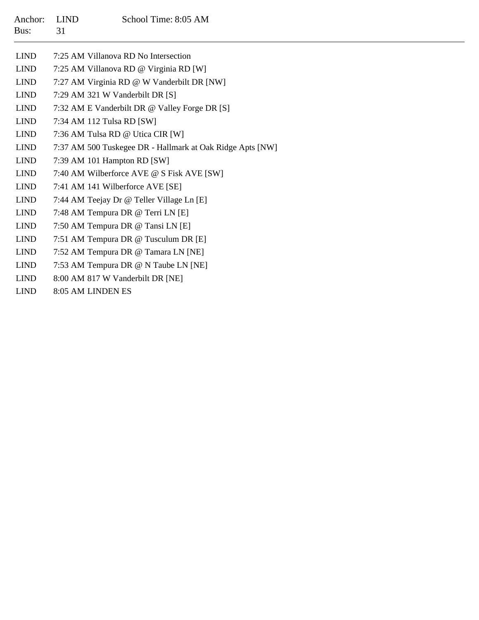| Anchor:<br>Bus: | <b>LIND</b><br>31               | School Time: 8:05 AM                                      |
|-----------------|---------------------------------|-----------------------------------------------------------|
| <b>LIND</b>     |                                 | 7:25 AM Villanova RD No Intersection                      |
| <b>LIND</b>     |                                 | 7:25 AM Villanova RD @ Virginia RD [W]                    |
| <b>LIND</b>     |                                 | 7:27 AM Virginia RD @ W Vanderbilt DR [NW]                |
| <b>LIND</b>     | 7:29 AM 321 W Vanderbilt DR [S] |                                                           |
| <b>LIND</b>     |                                 | 7:32 AM E Vanderbilt DR @ Valley Forge DR [S]             |
| <b>LIND</b>     | 7:34 AM 112 Tulsa RD [SW]       |                                                           |
| <b>LIND</b>     |                                 | 7:36 AM Tulsa RD @ Utica CIR [W]                          |
| <b>LIND</b>     |                                 | 7:37 AM 500 Tuskegee DR - Hallmark at Oak Ridge Apts [NW] |
| <b>LIND</b>     | 7:39 AM 101 Hampton RD [SW]     |                                                           |
| <b>LIND</b>     |                                 | 7:40 AM Wilberforce AVE @ S Fisk AVE [SW]                 |
| <b>LIND</b>     |                                 | 7:41 AM 141 Wilberforce AVE [SE]                          |
| <b>LIND</b>     |                                 | 7:44 AM Teejay Dr @ Teller Village Ln [E]                 |
| <b>LIND</b>     |                                 | 7:48 AM Tempura DR @ Terri LN [E]                         |
| <b>LIND</b>     |                                 | 7:50 AM Tempura DR @ Tansi LN [E]                         |
| <b>LIND</b>     |                                 | 7:51 AM Tempura DR @ Tusculum DR [E]                      |
| <b>LIND</b>     |                                 | 7:52 AM Tempura DR @ Tamara LN [NE]                       |
| <b>LIND</b>     |                                 | 7:53 AM Tempura DR @ N Taube LN [NE]                      |
| <b>LIND</b>     |                                 | 8:00 AM 817 W Vanderbilt DR [NE]                          |
| <b>LIND</b>     | 8:05 AM LINDEN ES               |                                                           |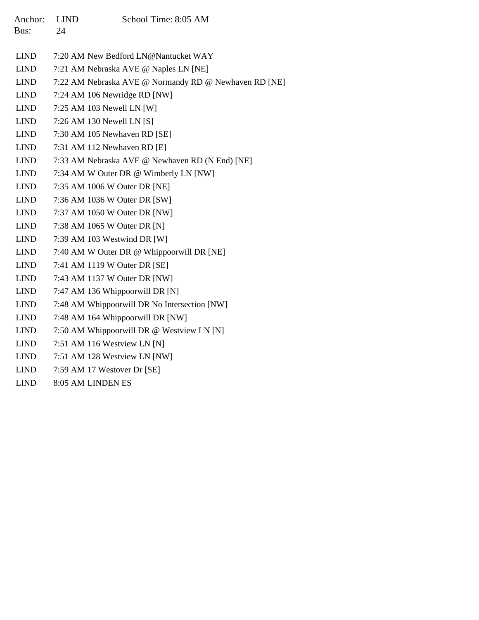| Anchor:<br>Bus: | <b>LIND</b><br>24 | School Time: 8:05 AM                                  |
|-----------------|-------------------|-------------------------------------------------------|
| <b>LIND</b>     |                   | 7:20 AM New Bedford LN@Nantucket WAY                  |
| <b>LIND</b>     |                   | 7:21 AM Nebraska AVE @ Naples LN [NE]                 |
| <b>LIND</b>     |                   | 7:22 AM Nebraska AVE @ Normandy RD @ Newhaven RD [NE] |
| <b>LIND</b>     |                   | 7:24 AM 106 Newridge RD [NW]                          |
| <b>LIND</b>     |                   | 7:25 AM 103 Newell LN [W]                             |
| <b>LIND</b>     |                   | 7:26 AM 130 Newell LN [S]                             |
| <b>LIND</b>     |                   | 7:30 AM 105 Newhaven RD [SE]                          |
| <b>LIND</b>     |                   | 7:31 AM 112 Newhaven RD [E]                           |
| <b>LIND</b>     |                   | 7:33 AM Nebraska AVE @ Newhaven RD (N End) [NE]       |
| <b>LIND</b>     |                   | 7:34 AM W Outer DR @ Wimberly LN [NW]                 |
| <b>LIND</b>     |                   | 7:35 AM 1006 W Outer DR [NE]                          |
| <b>LIND</b>     |                   | 7:36 AM 1036 W Outer DR [SW]                          |
| <b>LIND</b>     |                   | 7:37 AM 1050 W Outer DR [NW]                          |
| <b>LIND</b>     |                   | 7:38 AM 1065 W Outer DR [N]                           |
| <b>LIND</b>     |                   | 7:39 AM 103 Westwind DR [W]                           |
| <b>LIND</b>     |                   | 7:40 AM W Outer DR @ Whippoorwill DR [NE]             |
| <b>LIND</b>     |                   | 7:41 AM 1119 W Outer DR [SE]                          |
| <b>LIND</b>     |                   | 7:43 AM 1137 W Outer DR [NW]                          |
| <b>LIND</b>     |                   | 7:47 AM 136 Whippoorwill DR [N]                       |
| <b>LIND</b>     |                   | 7:48 AM Whippoorwill DR No Intersection [NW]          |
| <b>LIND</b>     |                   | 7:48 AM 164 Whippoorwill DR [NW]                      |
| <b>LIND</b>     |                   | 7:50 AM Whippoorwill DR @ Westview LN [N]             |
| <b>LIND</b>     |                   | 7:51 AM 116 Westview LN [N]                           |
| <b>LIND</b>     |                   | 7:51 AM 128 Westview LN [NW]                          |
| <b>LIND</b>     |                   | 7:59 AM 17 Westover Dr [SE]                           |

LIND 8:05 AM LINDEN ES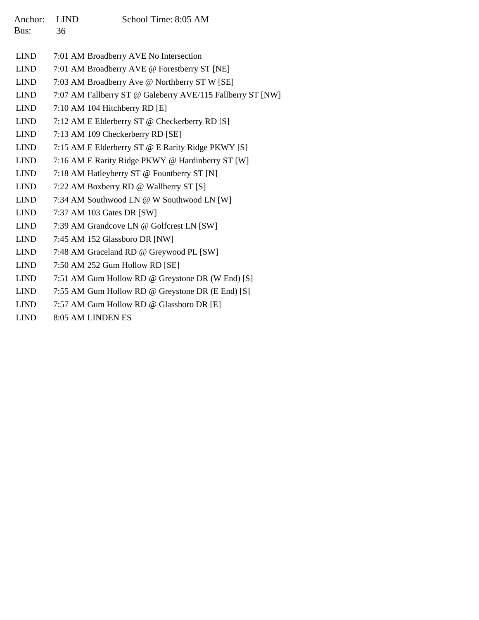| Anchor:<br>Bus: | <b>LIND</b><br>36 | School Time: 8:05 AM                                       |
|-----------------|-------------------|------------------------------------------------------------|
| <b>LIND</b>     |                   | 7:01 AM Broadberry AVE No Intersection                     |
| <b>LIND</b>     |                   | 7:01 AM Broadberry AVE @ Forestberry ST [NE]               |
| <b>LIND</b>     |                   | 7:03 AM Broadberry Ave @ Northberry ST W [SE]              |
| <b>LIND</b>     |                   | 7:07 AM Fallberry ST @ Galeberry AVE/115 Fallberry ST [NW] |
| <b>LIND</b>     |                   | 7:10 AM 104 Hitchberry RD [E]                              |
| <b>LIND</b>     |                   | 7:12 AM E Elderberry ST @ Checkerberry RD [S]              |
| <b>LIND</b>     |                   | 7:13 AM 109 Checkerberry RD [SE]                           |
| <b>LIND</b>     |                   | 7:15 AM E Elderberry ST @ E Rarity Ridge PKWY [S]          |
| <b>LIND</b>     |                   | 7:16 AM E Rarity Ridge PKWY @ Hardinberry ST [W]           |
| <b>LIND</b>     |                   | 7:18 AM Hatleyberry ST @ Fountberry ST [N]                 |
| <b>LIND</b>     |                   | 7:22 AM Boxberry RD @ Wallberry ST [S]                     |
| <b>LIND</b>     |                   | 7:34 AM Southwood LN @ W Southwood LN [W]                  |
| <b>LIND</b>     |                   | 7:37 AM 103 Gates DR [SW]                                  |
| <b>LIND</b>     |                   | 7:39 AM Grandcove LN @ Golfcrest LN [SW]                   |
| <b>LIND</b>     |                   | 7:45 AM 152 Glassboro DR [NW]                              |
| <b>LIND</b>     |                   | 7:48 AM Graceland RD @ Greywood PL [SW]                    |
| <b>LIND</b>     |                   | 7:50 AM 252 Gum Hollow RD [SE]                             |
| <b>LIND</b>     |                   | 7:51 AM Gum Hollow RD @ Greystone DR (W End) [S]           |
| <b>LIND</b>     |                   | 7:55 AM Gum Hollow RD @ Greystone DR (E End) [S]           |
| <b>LIND</b>     |                   | 7:57 AM Gum Hollow RD @ Glassboro DR [E]                   |

 $\overline{\phantom{0}}$ 

LIND 8:05 AM LINDEN ES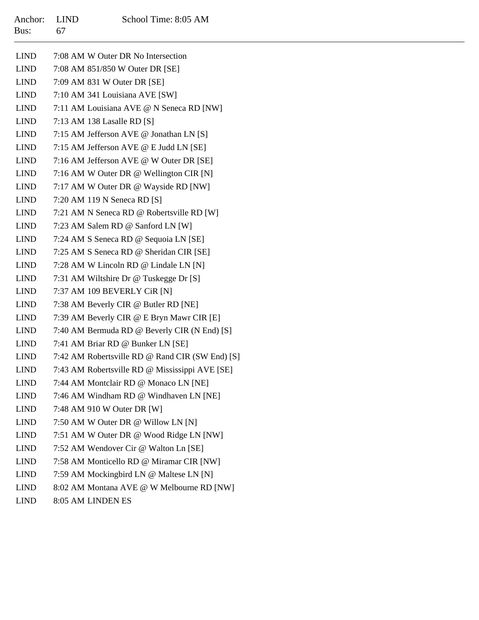| Anchor: LIND | School Time: 8:05 AM |
|--------------|----------------------|
| Bus: $67$    |                      |

| <b>LIND</b> | 7:08 AM W Outer DR No Intersection              |
|-------------|-------------------------------------------------|
| <b>LIND</b> | 7:08 AM 851/850 W Outer DR [SE]                 |
| <b>LIND</b> | 7:09 AM 831 W Outer DR [SE]                     |
| <b>LIND</b> | 7:10 AM 341 Louisiana AVE [SW]                  |
| LIND        | 7:11 AM Louisiana AVE @ N Seneca RD [NW]        |
| LIND        | 7:13 AM 138 Lasalle RD [S]                      |
| <b>LIND</b> | 7:15 AM Jefferson AVE @ Jonathan LN [S]         |
| LIND        | 7:15 AM Jefferson AVE @ E Judd LN [SE]          |
| LIND        | 7:16 AM Jefferson AVE @ W Outer DR [SE]         |
| <b>LIND</b> | 7:16 AM W Outer DR @ Wellington CIR [N]         |
| <b>LIND</b> | 7:17 AM W Outer DR @ Wayside RD [NW]            |
| LIND        | 7:20 AM 119 N Seneca RD [S]                     |
| <b>LIND</b> | 7:21 AM N Seneca RD @ Robertsville RD [W]       |
| LIND        | 7:23 AM Salem RD @ Sanford LN [W]               |
| <b>LIND</b> | 7:24 AM S Seneca RD @ Sequoia LN [SE]           |
| <b>LIND</b> | 7:25 AM S Seneca RD @ Sheridan CIR [SE]         |
| LIND        | 7:28 AM W Lincoln RD @ Lindale LN [N]           |
| LIND        | 7:31 AM Wiltshire Dr @ Tuskegge Dr [S]          |
| <b>LIND</b> | 7:37 AM 109 BEVERLY CIR [N]                     |
| <b>LIND</b> | 7:38 AM Beverly CIR @ Butler RD [NE]            |
| <b>LIND</b> | 7:39 AM Beverly CIR @ E Bryn Mawr CIR [E]       |
| LIND        | 7:40 AM Bermuda RD @ Beverly CIR (N End) [S]    |
| LIND        | 7:41 AM Briar RD @ Bunker LN [SE]               |
| LIND        | 7:42 AM Robertsville RD @ Rand CIR (SW End) [S] |
| LIND        | 7:43 AM Robertsville RD @ Mississippi AVE [SE]  |
| LIND        | 7:44 AM Montclair RD @ Monaco LN [NE]           |
| <b>LIND</b> | 7:46 AM Windham RD @ Windhaven LN [NE]          |
| <b>LIND</b> | 7:48 AM 910 W Outer DR [W]                      |
| <b>LIND</b> | 7:50 AM W Outer DR @ Willow LN [N]              |
| <b>LIND</b> | 7:51 AM W Outer DR @ Wood Ridge LN [NW]         |
| <b>LIND</b> | 7:52 AM Wendover Cir @ Walton Ln [SE]           |
| <b>LIND</b> | 7:58 AM Monticello RD @ Miramar CIR [NW]        |
| <b>LIND</b> | 7:59 AM Mockingbird LN @ Maltese LN [N]         |
| <b>LIND</b> | 8:02 AM Montana AVE @ W Melbourne RD [NW]       |
| <b>LIND</b> | 8:05 AM LINDEN ES                               |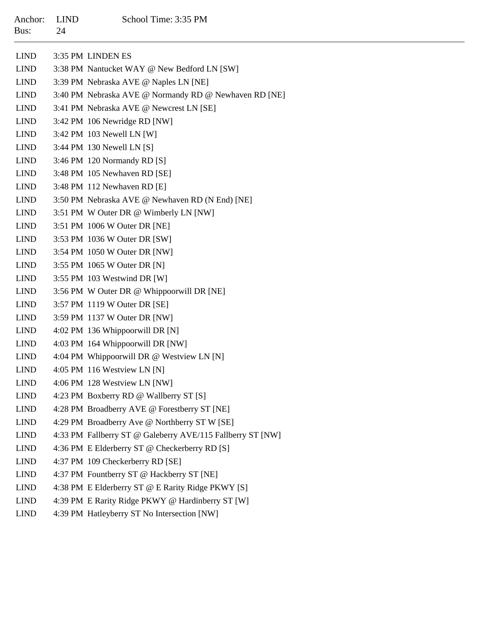| Anchor:<br>Bus:              | <b>LIND</b><br>24 | School Time: 3:35 PM                                       |
|------------------------------|-------------------|------------------------------------------------------------|
| <b>LIND</b>                  |                   | 3:35 PM LINDEN ES                                          |
| <b>LIND</b>                  |                   | 3:38 PM Nantucket WAY @ New Bedford LN [SW]                |
| <b>LIND</b>                  |                   | 3:39 PM Nebraska AVE @ Naples LN [NE]                      |
| <b>LIND</b>                  |                   | 3:40 PM Nebraska AVE @ Normandy RD @ Newhaven RD [NE]      |
| <b>LIND</b>                  |                   | 3:41 PM Nebraska AVE @ Newcrest LN [SE]                    |
| <b>LIND</b>                  |                   | 3:42 PM 106 Newridge RD [NW]                               |
| <b>LIND</b>                  |                   | $3:42$ PM 103 Newell LN [W]                                |
| <b>LIND</b>                  |                   | 3:44 PM 130 Newell LN [S]                                  |
| <b>LIND</b>                  |                   | 3:46 PM 120 Normandy RD [S]                                |
| <b>LIND</b>                  |                   | 3:48 PM 105 Newhaven RD [SE]                               |
| <b>LIND</b>                  |                   | 3:48 PM 112 Newhaven RD [E]                                |
| <b>LIND</b>                  |                   | 3:50 PM Nebraska AVE @ Newhaven RD (N End) [NE]            |
| <b>LIND</b>                  |                   | 3:51 PM W Outer DR @ Wimberly LN [NW]                      |
| <b>LIND</b>                  |                   | 3:51 PM 1006 W Outer DR [NE]                               |
| <b>LIND</b>                  |                   | 3:53 PM 1036 W Outer DR [SW]                               |
| <b>LIND</b>                  |                   | 3:54 PM 1050 W Outer DR [NW]                               |
| <b>LIND</b>                  |                   | 3:55 PM 1065 W Outer DR [N]                                |
| $\ensuremath{\mathrm{LIND}}$ |                   | 3:55 PM 103 Westwind DR [W]                                |
| <b>LIND</b>                  |                   | 3:56 PM W Outer DR @ Whippoorwill DR [NE]                  |
| <b>LIND</b>                  |                   | 3:57 PM 1119 W Outer DR [SE]                               |
| <b>LIND</b>                  |                   | 3:59 PM 1137 W Outer DR [NW]                               |
| <b>LIND</b>                  |                   | 4:02 PM 136 Whippoorwill DR [N]                            |
| <b>LIND</b>                  |                   | 4:03 PM 164 Whippoorwill DR [NW]                           |
| <b>LIND</b>                  |                   | 4:04 PM Whippoorwill DR @ Westview LN [N]                  |
| <b>LIND</b>                  |                   | 4:05 PM 116 Westview LN [N]                                |
| <b>LIND</b>                  |                   | 4:06 PM 128 Westview LN [NW]                               |
| <b>LIND</b>                  |                   | 4:23 PM Boxberry RD @ Wallberry ST [S]                     |
| <b>LIND</b>                  |                   | 4:28 PM Broadberry AVE @ Forestberry ST [NE]               |
| <b>LIND</b>                  |                   | 4:29 PM Broadberry Ave @ Northberry ST W [SE]              |
| <b>LIND</b>                  |                   | 4:33 PM Fallberry ST @ Galeberry AVE/115 Fallberry ST [NW] |
| <b>LIND</b>                  |                   | 4:36 PM E Elderberry ST @ Checkerberry RD [S]              |
| <b>LIND</b>                  |                   | 4:37 PM 109 Checkerberry RD [SE]                           |
| <b>LIND</b>                  |                   | 4:37 PM Fountberry ST @ Hackberry ST [NE]                  |
| <b>LIND</b>                  |                   | 4:38 PM E Elderberry ST @ E Rarity Ridge PKWY [S]          |
| <b>LIND</b>                  |                   | 4:39 PM E Rarity Ridge PKWY @ Hardinberry ST [W]           |
| <b>LIND</b>                  |                   | 4:39 PM Hatleyberry ST No Intersection [NW]                |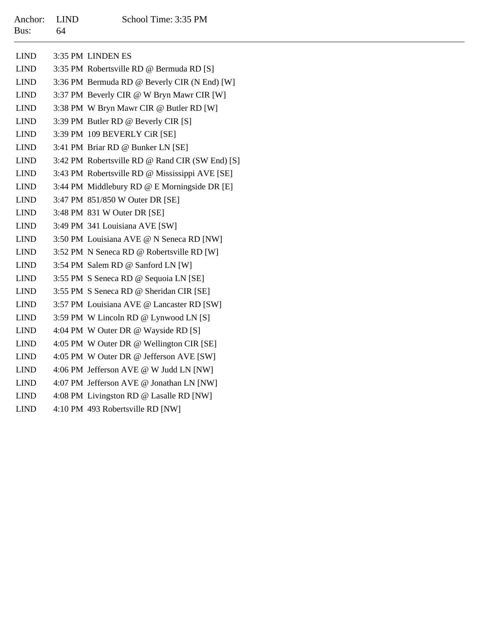| Anchor:<br>Bus: | <b>LIND</b><br>64 | School Time: 3:35 PM                            |
|-----------------|-------------------|-------------------------------------------------|
| <b>LIND</b>     |                   | 3:35 PM LINDEN ES                               |
| <b>LIND</b>     |                   | 3:35 PM Robertsville RD @ Bermuda RD [S]        |
| <b>LIND</b>     |                   | 3:36 PM Bermuda RD @ Beverly CIR (N End) [W]    |
| <b>LIND</b>     |                   | 3:37 PM Beverly CIR @ W Bryn Mawr CIR [W]       |
| <b>LIND</b>     |                   | 3:38 PM W Bryn Mawr CIR @ Butler RD [W]         |
| <b>LIND</b>     |                   | 3:39 PM Butler RD @ Beverly CIR [S]             |
| <b>LIND</b>     |                   | 3:39 PM 109 BEVERLY CiR [SE]                    |
| <b>LIND</b>     |                   | 3:41 PM Briar RD @ Bunker LN [SE]               |
| <b>LIND</b>     |                   | 3:42 PM Robertsville RD @ Rand CIR (SW End) [S] |
| <b>LIND</b>     |                   | 3:43 PM Robertsville RD @ Mississippi AVE [SE]  |
| <b>LIND</b>     |                   | 3:44 PM Middlebury RD @ E Morningside DR [E]    |
| <b>LIND</b>     |                   | 3:47 PM 851/850 W Outer DR [SE]                 |
| <b>LIND</b>     |                   | 3:48 PM 831 W Outer DR [SE]                     |
| <b>LIND</b>     |                   | 3:49 PM 341 Louisiana AVE [SW]                  |
| <b>LIND</b>     |                   | 3:50 PM Louisiana AVE @ N Seneca RD [NW]        |
| <b>LIND</b>     |                   | 3:52 PM N Seneca RD @ Robertsville RD [W]       |
| <b>LIND</b>     |                   | 3:54 PM Salem RD @ Sanford LN [W]               |
| <b>LIND</b>     |                   | 3:55 PM S Seneca RD @ Sequoia LN [SE]           |
| <b>LIND</b>     |                   | 3:55 PM S Seneca RD @ Sheridan CIR [SE]         |
| <b>LIND</b>     |                   | 3:57 PM Louisiana AVE @ Lancaster RD [SW]       |
| <b>LIND</b>     |                   | 3:59 PM W Lincoln RD @ Lynwood LN [S]           |
| <b>LIND</b>     |                   | 4:04 PM W Outer DR @ Wayside RD [S]             |
| <b>LIND</b>     |                   | 4:05 PM W Outer DR @ Wellington CIR [SE]        |
| <b>LIND</b>     |                   | 4:05 PM W Outer DR @ Jefferson AVE [SW]         |
| <b>LIND</b>     |                   | 4:06 PM Jefferson AVE @ W Judd LN [NW]          |
| <b>LIND</b>     |                   | 4:07 PM Jefferson AVE @ Jonathan LN [NW]        |
| <b>LIND</b>     |                   | 4:08 PM Livingston RD @ Lasalle RD [NW]         |
| <b>LIND</b>     |                   | 4:10 PM 493 Robertsville RD INW1                |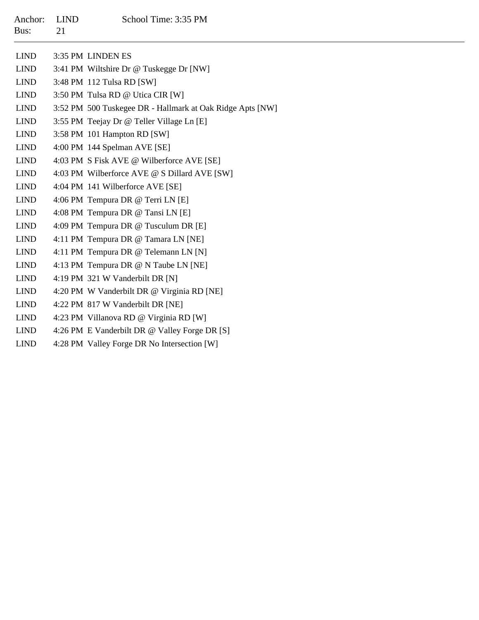| Anchor:<br>Bus: | <b>LIND</b><br>21 | School Time: 3:35 PM                                      |
|-----------------|-------------------|-----------------------------------------------------------|
| <b>LIND</b>     |                   | 3:35 PM LINDEN ES                                         |
| <b>LIND</b>     |                   | 3:41 PM Wiltshire Dr @ Tuskegge Dr [NW]                   |
| <b>LIND</b>     |                   | 3:48 PM 112 Tulsa RD [SW]                                 |
| <b>LIND</b>     |                   | 3:50 PM Tulsa RD @ Utica CIR [W]                          |
| <b>LIND</b>     |                   | 3:52 PM 500 Tuskegee DR - Hallmark at Oak Ridge Apts [NW] |
| <b>LIND</b>     |                   | 3:55 PM Teejay Dr @ Teller Village Ln [E]                 |
| <b>LIND</b>     |                   | 3:58 PM 101 Hampton RD [SW]                               |
| <b>LIND</b>     |                   | 4:00 PM 144 Spelman AVE [SE]                              |
| <b>LIND</b>     |                   | 4:03 PM S Fisk AVE @ Wilberforce AVE [SE]                 |
| <b>LIND</b>     |                   | 4:03 PM Wilberforce AVE @ S Dillard AVE [SW]              |
| <b>LIND</b>     |                   | 4:04 PM 141 Wilberforce AVE [SE]                          |
| <b>LIND</b>     |                   | 4:06 PM Tempura DR @ Terri LN [E]                         |
| <b>LIND</b>     |                   | 4:08 PM Tempura DR @ Tansi LN [E]                         |
| <b>LIND</b>     |                   | 4:09 PM Tempura DR @ Tusculum DR [E]                      |
| <b>LIND</b>     |                   | 4:11 PM Tempura DR @ Tamara LN [NE]                       |
| <b>LIND</b>     |                   | 4:11 PM Tempura DR @ Telemann LN [N]                      |
| <b>LIND</b>     |                   | 4:13 PM Tempura DR @ N Taube LN [NE]                      |
| <b>LIND</b>     |                   | 4:19 PM 321 W Vanderbilt DR [N]                           |
| <b>LIND</b>     |                   | 4:20 PM W Vanderbilt DR @ Virginia RD [NE]                |
| <b>LIND</b>     |                   | 4:22 PM 817 W Vanderbilt DR [NE]                          |
| <b>LIND</b>     |                   | 4:23 PM Villanova RD @ Virginia RD [W]                    |
| <b>LIND</b>     |                   | 4:26 PM E Vanderbilt DR @ Valley Forge DR [S]             |

LIND4:28 PM Valley Forge DR No Intersection [W]